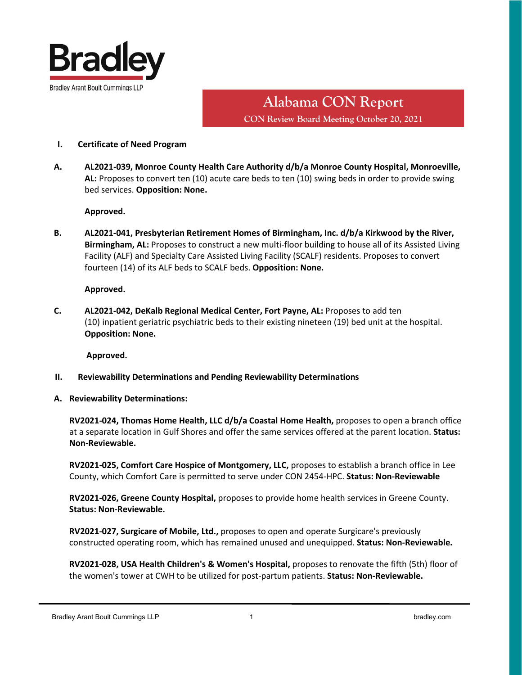

# **Alabama CON Report CON Review Board Meeting October 20, 2021**

## **I. Certificate of Need Program**

**A. AL2021-039, Monroe County Health Care Authority d/b/a Monroe County Hospital, Monroeville, AL:** Proposes to convert ten (10) acute care beds to ten (10) swing beds in order to provide swing bed services. **Opposition: None.**

#### **Approved.**

**B. AL2021-041, Presbyterian Retirement Homes of Birmingham, Inc. d/b/a Kirkwood by the River, Birmingham, AL:** Proposes to construct a new multi-floor building to house all of its Assisted Living Facility (ALF) and Specialty Care Assisted Living Facility (SCALF) residents. Proposes to convert fourteen (14) of its ALF beds to SCALF beds. **Opposition: None.**

## **Approved.**

**C. AL2021-042, DeKalb Regional Medical Center, Fort Payne, AL:** Proposes to add ten (10) inpatient geriatric psychiatric beds to their existing nineteen (19) bed unit at the hospital. **Opposition: None.**

**Approved.**

- **II. Reviewability Determinations and Pending Reviewability Determinations**
- **A. Reviewability Determinations:**

**RV2021-024, Thomas Home Health, LLC d/b/a Coastal Home Health,** proposes to open a branch office at a separate location in Gulf Shores and offer the same services offered at the parent location. **Status: Non-Reviewable.**

**RV2021-025, Comfort Care Hospice of Montgomery, LLC,** proposes to establish a branch office in Lee County, which Comfort Care is permitted to serve under CON 2454-HPC. **Status: Non-Reviewable** 

**RV2021-026, Greene County Hospital,** proposes to provide home health services in Greene County. **Status: Non-Reviewable.**

**RV2021-027, Surgicare of Mobile, Ltd.,** proposes to open and operate Surgicare's previously constructed operating room, which has remained unused and unequipped. **Status: Non-Reviewable.**

**RV2021-028, USA Health Children's & Women's Hospital,** proposes to renovate the fifth (5th) floor of the women's tower at CWH to be utilized for post-partum patients. **Status: Non-Reviewable.**

Bradley Arant Boult Cummings LLP 1 bradley.com 1 bradley.com